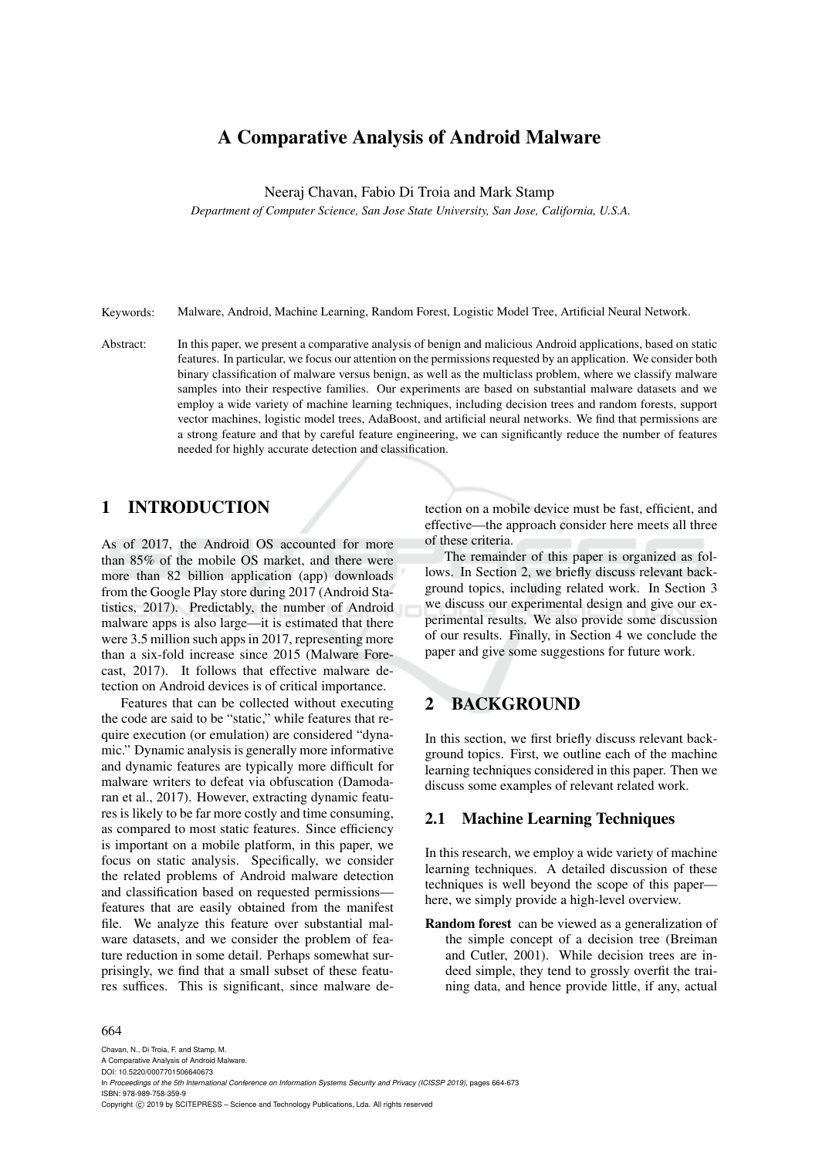# A Comparative Analysis of Android Malware

Neeraj Chavan, Fabio Di Troia and Mark Stamp

*Department of Computer Science, San Jose State University, San Jose, California, U.S.A.*

Keywords: Malware, Android, Machine Learning, Random Forest, Logistic Model Tree, Artificial Neural Network.

Abstract: In this paper, we present a comparative analysis of benign and malicious Android applications, based on static features. In particular, we focus our attention on the permissions requested by an application. We consider both binary classification of malware versus benign, as well as the multiclass problem, where we classify malware samples into their respective families. Our experiments are based on substantial malware datasets and we employ a wide variety of machine learning techniques, including decision trees and random forests, support vector machines, logistic model trees, AdaBoost, and artificial neural networks. We find that permissions are a strong feature and that by careful feature engineering, we can significantly reduce the number of features needed for highly accurate detection and classification.

## 1 INTRODUCTION

As of 2017, the Android OS accounted for more than 85% of the mobile OS market, and there were more than 82 billion application (app) downloads from the Google Play store during 2017 (Android Statistics, 2017). Predictably, the number of Android malware apps is also large—it is estimated that there were 3.5 million such apps in 2017, representing more than a six-fold increase since 2015 (Malware Forecast, 2017). It follows that effective malware detection on Android devices is of critical importance.

Features that can be collected without executing the code are said to be "static," while features that require execution (or emulation) are considered "dynamic." Dynamic analysis is generally more informative and dynamic features are typically more difficult for malware writers to defeat via obfuscation (Damodaran et al., 2017). However, extracting dynamic features is likely to be far more costly and time consuming, as compared to most static features. Since efficiency is important on a mobile platform, in this paper, we focus on static analysis. Specifically, we consider the related problems of Android malware detection and classification based on requested permissions features that are easily obtained from the manifest file. We analyze this feature over substantial malware datasets, and we consider the problem of feature reduction in some detail. Perhaps somewhat surprisingly, we find that a small subset of these features suffices. This is significant, since malware de-

tection on a mobile device must be fast, efficient, and effective—the approach consider here meets all three of these criteria.

The remainder of this paper is organized as follows. In Section 2, we briefly discuss relevant background topics, including related work. In Section 3 we discuss our experimental design and give our experimental results. We also provide some discussion of our results. Finally, in Section 4 we conclude the paper and give some suggestions for future work.

## 2 BACKGROUND

In this section, we first briefly discuss relevant background topics. First, we outline each of the machine learning techniques considered in this paper. Then we discuss some examples of relevant related work.

### 2.1 Machine Learning Techniques

In this research, we employ a wide variety of machine learning techniques. A detailed discussion of these techniques is well beyond the scope of this paper here, we simply provide a high-level overview.

Random forest can be viewed as a generalization of the simple concept of a decision tree (Breiman and Cutler, 2001). While decision trees are indeed simple, they tend to grossly overfit the training data, and hence provide little, if any, actual

#### 664

Chavan, N., Di Troia, F. and Stamp, M. A Comparative Analysis of Android Malware. DOI: 10.5220/0007701506640673 In *Proceedings of the 5th International Conference on Information Systems Security and Privacy (ICISSP 2019)*, pages 664-673 ISBN: 978-989-758-359-9 Copyright © 2019 by SCITEPRESS - Science and Technology Publications, Lda. All rights reserved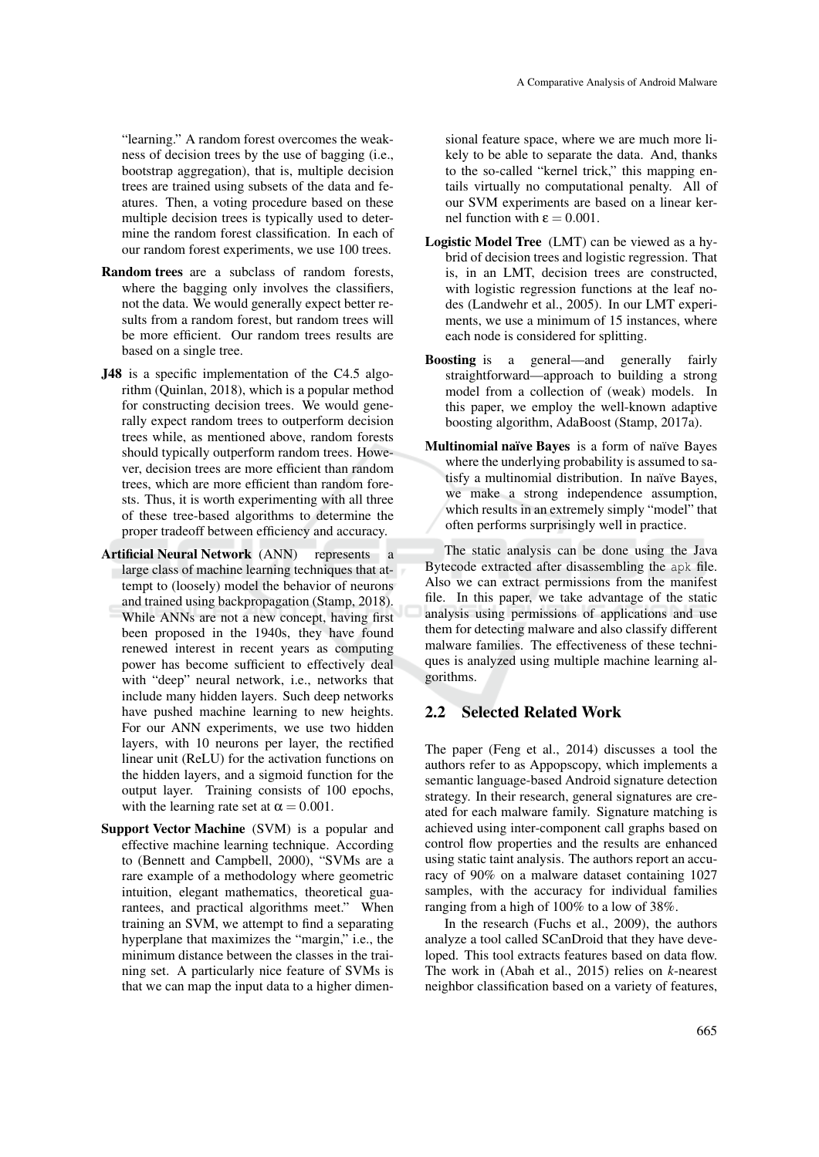"learning." A random forest overcomes the weakness of decision trees by the use of bagging (i.e., bootstrap aggregation), that is, multiple decision trees are trained using subsets of the data and features. Then, a voting procedure based on these multiple decision trees is typically used to determine the random forest classification. In each of our random forest experiments, we use 100 trees.

- Random trees are a subclass of random forests, where the bagging only involves the classifiers, not the data. We would generally expect better results from a random forest, but random trees will be more efficient. Our random trees results are based on a single tree.
- J48 is a specific implementation of the C4.5 algorithm (Quinlan, 2018), which is a popular method for constructing decision trees. We would generally expect random trees to outperform decision trees while, as mentioned above, random forests should typically outperform random trees. However, decision trees are more efficient than random trees, which are more efficient than random forests. Thus, it is worth experimenting with all three of these tree-based algorithms to determine the proper tradeoff between efficiency and accuracy.
- Artificial Neural Network (ANN) represents a large class of machine learning techniques that attempt to (loosely) model the behavior of neurons and trained using backpropagation (Stamp, 2018). While ANNs are not a new concept, having first been proposed in the 1940s, they have found renewed interest in recent years as computing power has become sufficient to effectively deal with "deep" neural network, i.e., networks that include many hidden layers. Such deep networks have pushed machine learning to new heights. For our ANN experiments, we use two hidden layers, with 10 neurons per layer, the rectified linear unit (ReLU) for the activation functions on the hidden layers, and a sigmoid function for the output layer. Training consists of 100 epochs, with the learning rate set at  $\alpha = 0.001$ .
- Support Vector Machine (SVM) is a popular and effective machine learning technique. According to (Bennett and Campbell, 2000), "SVMs are a rare example of a methodology where geometric intuition, elegant mathematics, theoretical guarantees, and practical algorithms meet." When training an SVM, we attempt to find a separating hyperplane that maximizes the "margin," i.e., the minimum distance between the classes in the training set. A particularly nice feature of SVMs is that we can map the input data to a higher dimen-

sional feature space, where we are much more likely to be able to separate the data. And, thanks to the so-called "kernel trick," this mapping entails virtually no computational penalty. All of our SVM experiments are based on a linear kernel function with  $\varepsilon = 0.001$ .

- Logistic Model Tree (LMT) can be viewed as a hybrid of decision trees and logistic regression. That is, in an LMT, decision trees are constructed, with logistic regression functions at the leaf nodes (Landwehr et al., 2005). In our LMT experiments, we use a minimum of 15 instances, where each node is considered for splitting.
- Boosting is a general—and generally fairly straightforward—approach to building a strong model from a collection of (weak) models. In this paper, we employ the well-known adaptive boosting algorithm, AdaBoost (Stamp, 2017a).
- Multinomial naïve Bayes is a form of naïve Bayes where the underlying probability is assumed to satisfy a multinomial distribution. In naïve Bayes, we make a strong independence assumption, which results in an extremely simply "model" that often performs surprisingly well in practice.

The static analysis can be done using the Java Bytecode extracted after disassembling the apk file. Also we can extract permissions from the manifest file. In this paper, we take advantage of the static analysis using permissions of applications and use them for detecting malware and also classify different malware families. The effectiveness of these techniques is analyzed using multiple machine learning algorithms.

## 2.2 Selected Related Work

The paper (Feng et al., 2014) discusses a tool the authors refer to as Appopscopy, which implements a semantic language-based Android signature detection strategy. In their research, general signatures are created for each malware family. Signature matching is achieved using inter-component call graphs based on control flow properties and the results are enhanced using static taint analysis. The authors report an accuracy of 90% on a malware dataset containing 1027 samples, with the accuracy for individual families ranging from a high of 100% to a low of 38%.

In the research (Fuchs et al., 2009), the authors analyze a tool called SCanDroid that they have developed. This tool extracts features based on data flow. The work in (Abah et al., 2015) relies on *k*-nearest neighbor classification based on a variety of features,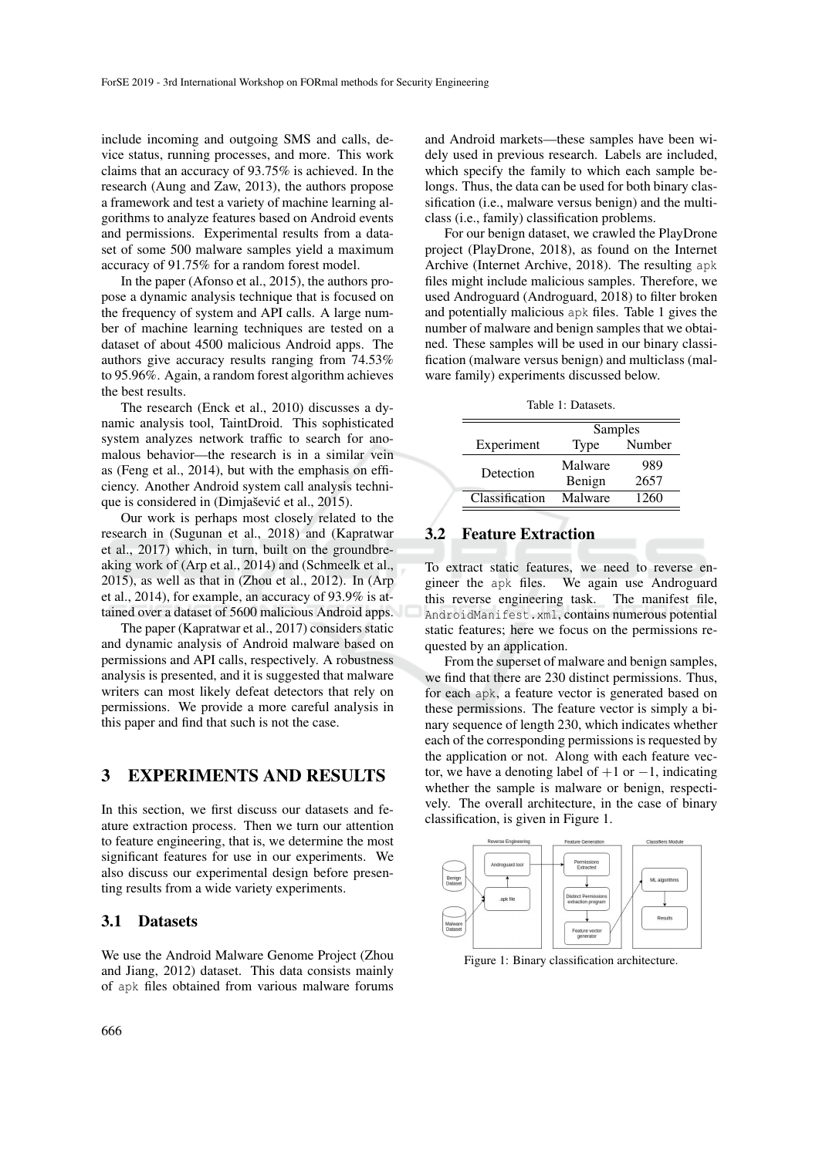include incoming and outgoing SMS and calls, device status, running processes, and more. This work claims that an accuracy of 93.75% is achieved. In the research (Aung and Zaw, 2013), the authors propose a framework and test a variety of machine learning algorithms to analyze features based on Android events and permissions. Experimental results from a dataset of some 500 malware samples yield a maximum accuracy of 91.75% for a random forest model.

In the paper (Afonso et al., 2015), the authors propose a dynamic analysis technique that is focused on the frequency of system and API calls. A large number of machine learning techniques are tested on a dataset of about 4500 malicious Android apps. The authors give accuracy results ranging from 74.53% to 95.96%. Again, a random forest algorithm achieves the best results.

The research (Enck et al., 2010) discusses a dynamic analysis tool, TaintDroid. This sophisticated system analyzes network traffic to search for anomalous behavior—the research is in a similar vein as (Feng et al., 2014), but with the emphasis on efficiency. Another Android system call analysis technique is considered in (Dimjašević et al., 2015).

Our work is perhaps most closely related to the research in (Sugunan et al., 2018) and (Kapratwar et al., 2017) which, in turn, built on the groundbreaking work of (Arp et al., 2014) and (Schmeelk et al., 2015), as well as that in (Zhou et al., 2012). In (Arp et al., 2014), for example, an accuracy of 93.9% is attained over a dataset of 5600 malicious Android apps.

The paper (Kapratwar et al., 2017) considers static and dynamic analysis of Android malware based on permissions and API calls, respectively. A robustness analysis is presented, and it is suggested that malware writers can most likely defeat detectors that rely on permissions. We provide a more careful analysis in this paper and find that such is not the case.

## 3 EXPERIMENTS AND RESULTS

In this section, we first discuss our datasets and feature extraction process. Then we turn our attention to feature engineering, that is, we determine the most significant features for use in our experiments. We also discuss our experimental design before presenting results from a wide variety experiments.

#### 3.1 Datasets

We use the Android Malware Genome Project (Zhou and Jiang, 2012) dataset. This data consists mainly of apk files obtained from various malware forums

and Android markets—these samples have been widely used in previous research. Labels are included, which specify the family to which each sample belongs. Thus, the data can be used for both binary classification (i.e., malware versus benign) and the multiclass (i.e., family) classification problems.

For our benign dataset, we crawled the PlayDrone project (PlayDrone, 2018), as found on the Internet Archive (Internet Archive, 2018). The resulting apk files might include malicious samples. Therefore, we used Androguard (Androguard, 2018) to filter broken and potentially malicious apk files. Table 1 gives the number of malware and benign samples that we obtained. These samples will be used in our binary classification (malware versus benign) and multiclass (malware family) experiments discussed below.

Table 1: Datasets.

|                | Samples |        |
|----------------|---------|--------|
| Experiment     | Type    | Number |
| Detection      | Malware | 989    |
|                | Benign  | 2657   |
| Classification | Malware | 1260   |

### 3.2 Feature Extraction

To extract static features, we need to reverse engineer the apk files. We again use Androguard this reverse engineering task. The manifest file, AndroidManifest.xml, contains numerous potential static features; here we focus on the permissions requested by an application.

From the superset of malware and benign samples, we find that there are 230 distinct permissions. Thus, for each apk, a feature vector is generated based on these permissions. The feature vector is simply a binary sequence of length 230, which indicates whether each of the corresponding permissions is requested by the application or not. Along with each feature vector, we have a denoting label of  $+1$  or  $-1$ , indicating whether the sample is malware or benign, respectively. The overall architecture, in the case of binary classification, is given in Figure 1.



Figure 1: Binary classification architecture.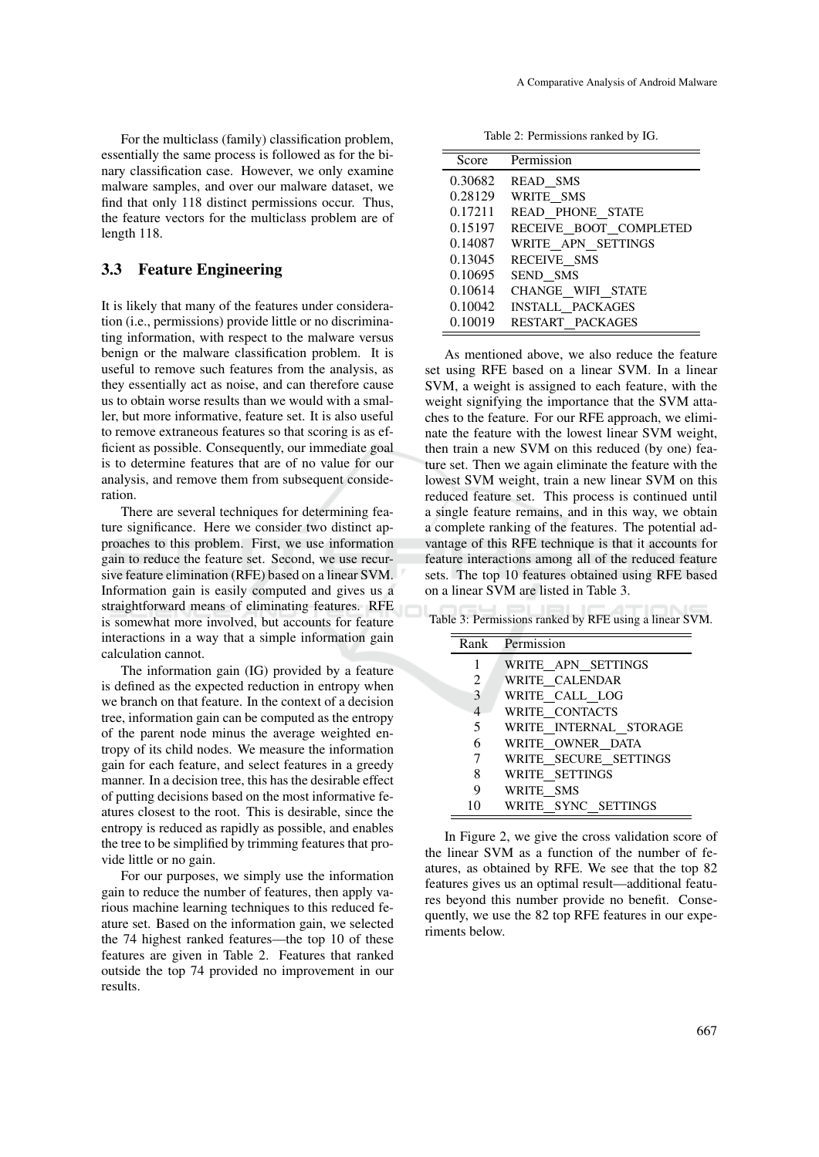For the multiclass (family) classification problem, essentially the same process is followed as for the binary classification case. However, we only examine malware samples, and over our malware dataset, we find that only 118 distinct permissions occur. Thus, the feature vectors for the multiclass problem are of length 118.

## 3.3 Feature Engineering

It is likely that many of the features under consideration (i.e., permissions) provide little or no discriminating information, with respect to the malware versus benign or the malware classification problem. It is useful to remove such features from the analysis, as they essentially act as noise, and can therefore cause us to obtain worse results than we would with a smaller, but more informative, feature set. It is also useful to remove extraneous features so that scoring is as efficient as possible. Consequently, our immediate goal is to determine features that are of no value for our analysis, and remove them from subsequent consideration.

There are several techniques for determining feature significance. Here we consider two distinct approaches to this problem. First, we use information gain to reduce the feature set. Second, we use recursive feature elimination (RFE) based on a linear SVM. Information gain is easily computed and gives us a straightforward means of eliminating features. RFE is somewhat more involved, but accounts for feature interactions in a way that a simple information gain calculation cannot.

The information gain (IG) provided by a feature is defined as the expected reduction in entropy when we branch on that feature. In the context of a decision tree, information gain can be computed as the entropy of the parent node minus the average weighted entropy of its child nodes. We measure the information gain for each feature, and select features in a greedy manner. In a decision tree, this has the desirable effect of putting decisions based on the most informative features closest to the root. This is desirable, since the entropy is reduced as rapidly as possible, and enables the tree to be simplified by trimming features that provide little or no gain.

For our purposes, we simply use the information gain to reduce the number of features, then apply various machine learning techniques to this reduced feature set. Based on the information gain, we selected the 74 highest ranked features—the top 10 of these features are given in Table 2. Features that ranked outside the top 74 provided no improvement in our results.

Table 2: Permissions ranked by IG.

| Score   | Permission              |
|---------|-------------------------|
| 0.30682 | READ SMS                |
| 0.28129 | WRITE SMS               |
| 0.17211 | READ_PHONE_STATE        |
| 0.15197 | RECEIVE BOOT COMPLETED  |
| 0.14087 | WRITE_APN_SETTINGS      |
| 0.13045 | RECEIVE SMS             |
| 0.10695 | SEND SMS                |
| 0.10614 | CHANGE WIFI STATE       |
| 0.10042 | <b>INSTALL PACKAGES</b> |
| 0.10019 | RESTART PACKAGES        |

As mentioned above, we also reduce the feature set using RFE based on a linear SVM. In a linear SVM, a weight is assigned to each feature, with the weight signifying the importance that the SVM attaches to the feature. For our RFE approach, we eliminate the feature with the lowest linear SVM weight, then train a new SVM on this reduced (by one) feature set. Then we again eliminate the feature with the lowest SVM weight, train a new linear SVM on this reduced feature set. This process is continued until a single feature remains, and in this way, we obtain a complete ranking of the features. The potential advantage of this RFE technique is that it accounts for feature interactions among all of the reduced feature sets. The top 10 features obtained using RFE based on a linear SVM are listed in Table 3.

Table 3: Permissions ranked by RFE using a linear SVM.

|    | Rank Permission        |
|----|------------------------|
| 1  | WRITE APN SETTINGS     |
| 2  | WRITE CALENDAR         |
| 3  | WRITE CALL LOG         |
| 4  | WRITE CONTACTS         |
| .5 | WRITE INTERNAL STORAGE |
| 6  | WRITE OWNER DATA       |
| 7  | WRITE SECURE SETTINGS  |
| 8  | WRITE SETTINGS         |
| 9  | WRITE SMS              |
| 10 | WRITE SYNC SETTINGS    |

In Figure 2, we give the cross validation score of the linear SVM as a function of the number of features, as obtained by RFE. We see that the top 82 features gives us an optimal result—additional features beyond this number provide no benefit. Consequently, we use the 82 top RFE features in our experiments below.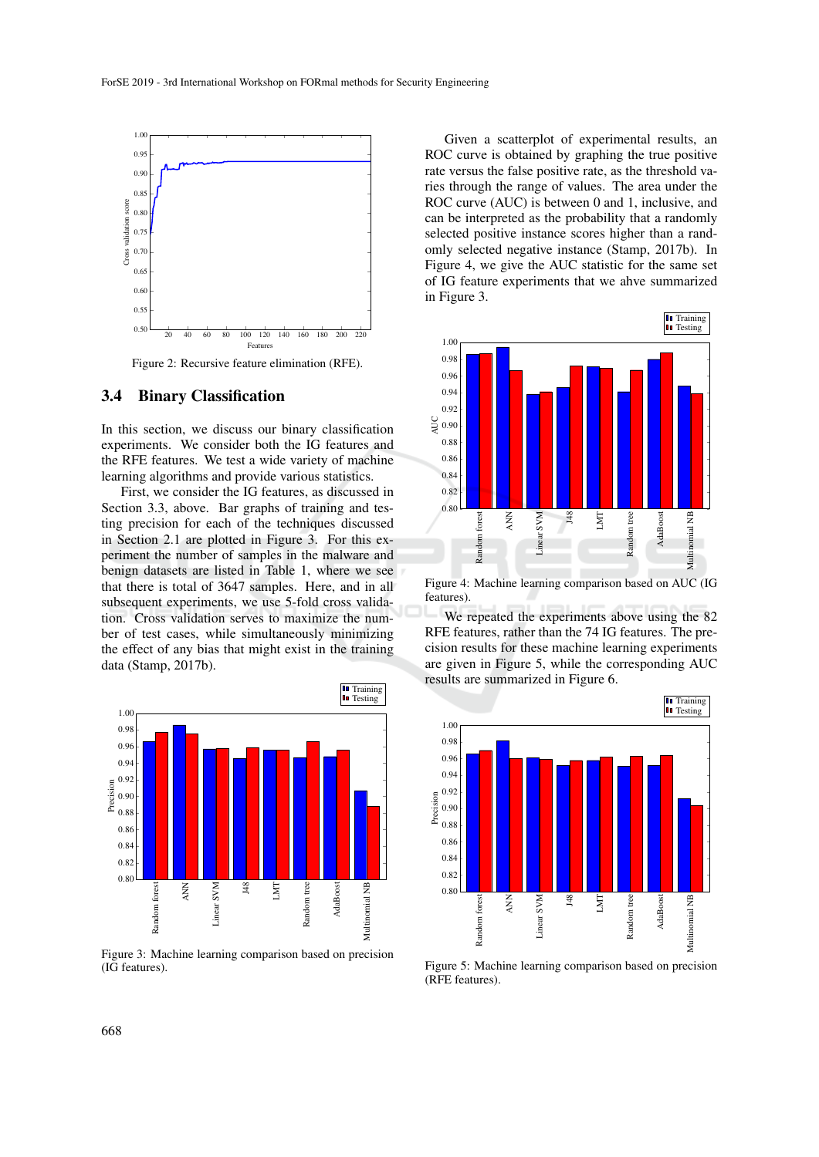

Figure 2: Recursive feature elimination (RFE).

#### 3.4 Binary Classification

In this section, we discuss our binary classification experiments. We consider both the IG features and the RFE features. We test a wide variety of machine learning algorithms and provide various statistics.

First, we consider the IG features, as discussed in Section 3.3, above. Bar graphs of training and testing precision for each of the techniques discussed in Section 2.1 are plotted in Figure 3. For this experiment the number of samples in the malware and benign datasets are listed in Table 1, where we see that there is total of 3647 samples. Here, and in all subsequent experiments, we use 5-fold cross validation. Cross validation serves to maximize the number of test cases, while simultaneously minimizing the effect of any bias that might exist in the training data (Stamp, 2017b).



Figure 3: Machine learning comparison based on precision (IG features).

Given a scatterplot of experimental results, an ROC curve is obtained by graphing the true positive rate versus the false positive rate, as the threshold varies through the range of values. The area under the ROC curve (AUC) is between 0 and 1, inclusive, and can be interpreted as the probability that a randomly selected positive instance scores higher than a randomly selected negative instance (Stamp, 2017b). In Figure 4, we give the AUC statistic for the same set of IG feature experiments that we ahve summarized in Figure 3.



Figure 4: Machine learning comparison based on AUC (IG features).

We repeated the experiments above using the 82 RFE features, rather than the 74 IG features. The precision results for these machine learning experiments are given in Figure 5, while the corresponding AUC results are summarized in Figure 6.



Figure 5: Machine learning comparison based on precision (RFE features).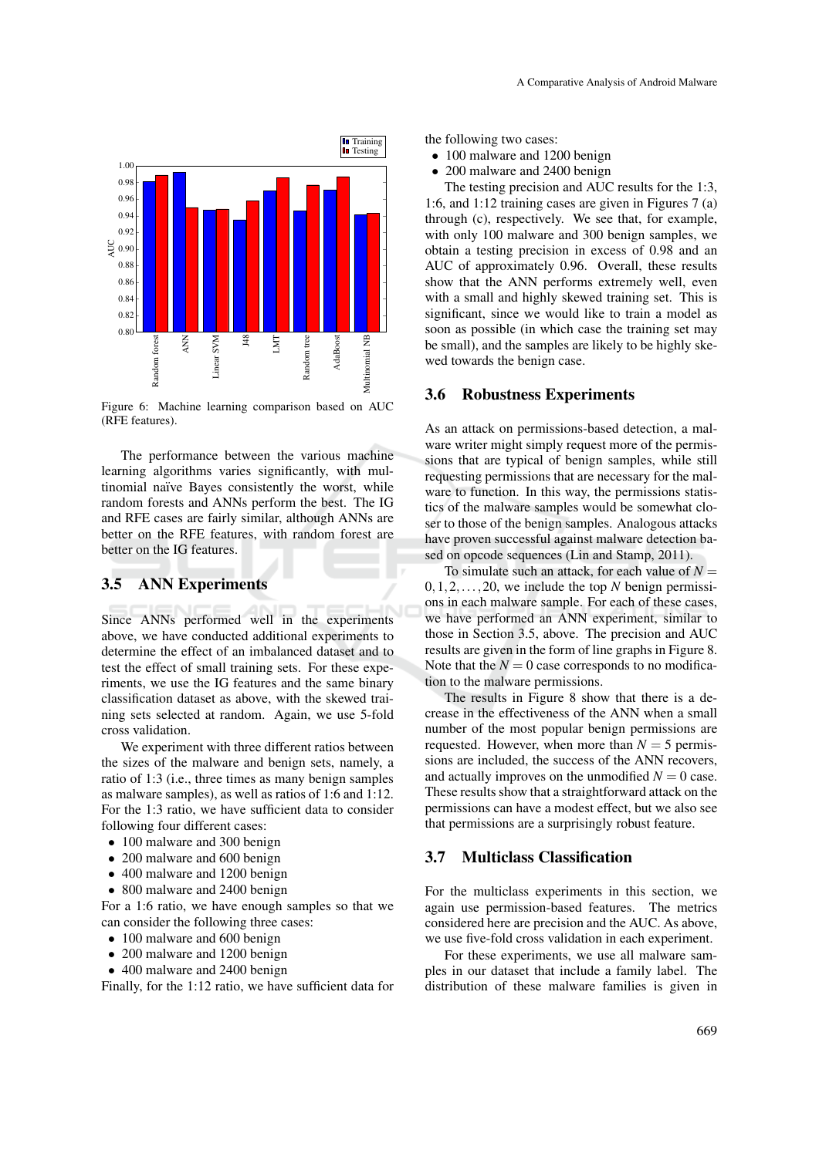

Figure 6: Machine learning comparison based on AUC (RFE features).

The performance between the various machine learning algorithms varies significantly, with multinomial naïve Bayes consistently the worst, while random forests and ANNs perform the best. The IG and RFE cases are fairly similar, although ANNs are better on the RFE features, with random forest are better on the IG features.

### 3.5 ANN Experiments

Since ANNs performed well in the experiments above, we have conducted additional experiments to determine the effect of an imbalanced dataset and to test the effect of small training sets. For these experiments, we use the IG features and the same binary classification dataset as above, with the skewed training sets selected at random. Again, we use 5-fold cross validation.

We experiment with three different ratios between the sizes of the malware and benign sets, namely, a ratio of 1:3 (i.e., three times as many benign samples as malware samples), as well as ratios of 1:6 and 1:12. For the 1:3 ratio, we have sufficient data to consider following four different cases:

- 100 malware and 300 benign
- 200 malware and 600 benign
- 400 malware and 1200 benign
- 800 malware and 2400 benign

For a 1:6 ratio, we have enough samples so that we can consider the following three cases:

- 100 malware and 600 benign
- 200 malware and 1200 benign
- 400 malware and 2400 benign

Finally, for the 1:12 ratio, we have sufficient data for

the following two cases:

- 100 malware and 1200 benign
- 200 malware and 2400 benign The testing precision and AUC results for the 1:3,

1:6, and 1:12 training cases are given in Figures 7 (a) through (c), respectively. We see that, for example, with only 100 malware and 300 benign samples, we obtain a testing precision in excess of 0.98 and an AUC of approximately 0.96. Overall, these results show that the ANN performs extremely well, even with a small and highly skewed training set. This is significant, since we would like to train a model as soon as possible (in which case the training set may be small), and the samples are likely to be highly skewed towards the benign case.

#### 3.6 Robustness Experiments

As an attack on permissions-based detection, a malware writer might simply request more of the permissions that are typical of benign samples, while still requesting permissions that are necessary for the malware to function. In this way, the permissions statistics of the malware samples would be somewhat closer to those of the benign samples. Analogous attacks have proven successful against malware detection based on opcode sequences (Lin and Stamp, 2011).

To simulate such an attack, for each value of  $N =$  $0, 1, 2, \ldots, 20$ , we include the top *N* benign permissions in each malware sample. For each of these cases, we have performed an ANN experiment, similar to those in Section 3.5, above. The precision and AUC results are given in the form of line graphs in Figure 8. Note that the  $N = 0$  case corresponds to no modification to the malware permissions.

The results in Figure 8 show that there is a decrease in the effectiveness of the ANN when a small number of the most popular benign permissions are requested. However, when more than  $N = 5$  permissions are included, the success of the ANN recovers, and actually improves on the unmodified  $N = 0$  case. These results show that a straightforward attack on the permissions can have a modest effect, but we also see that permissions are a surprisingly robust feature.

#### 3.7 Multiclass Classification

For the multiclass experiments in this section, we again use permission-based features. The metrics considered here are precision and the AUC. As above, we use five-fold cross validation in each experiment.

For these experiments, we use all malware samples in our dataset that include a family label. The distribution of these malware families is given in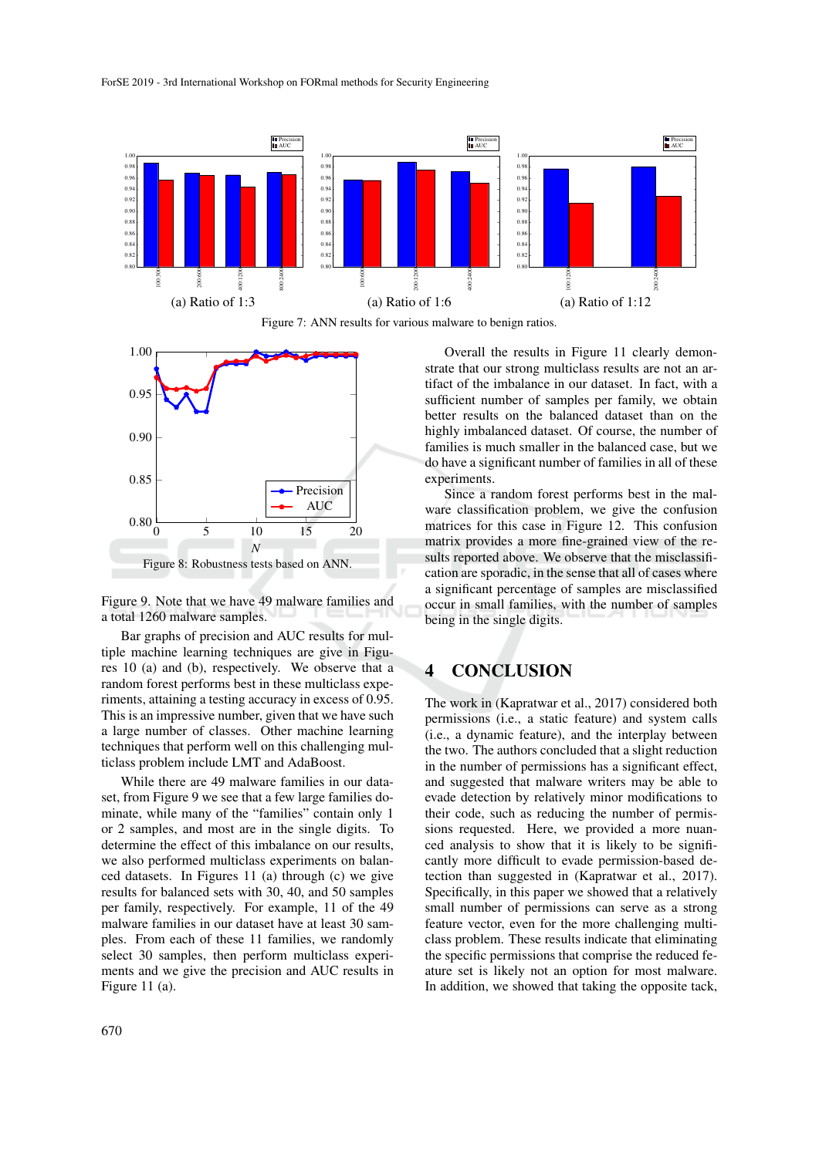

Figure 7: ANN results for various malware to benign ratios.



Figure 9. Note that we have 49 malware families and a total 1260 malware samples.

Bar graphs of precision and AUC results for multiple machine learning techniques are give in Figures 10 (a) and (b), respectively. We observe that a random forest performs best in these multiclass experiments, attaining a testing accuracy in excess of 0.95. This is an impressive number, given that we have such a large number of classes. Other machine learning techniques that perform well on this challenging multiclass problem include LMT and AdaBoost.

While there are 49 malware families in our dataset, from Figure 9 we see that a few large families dominate, while many of the "families" contain only 1 or 2 samples, and most are in the single digits. To determine the effect of this imbalance on our results, we also performed multiclass experiments on balanced datasets. In Figures 11 (a) through (c) we give results for balanced sets with 30, 40, and 50 samples per family, respectively. For example, 11 of the 49 malware families in our dataset have at least 30 samples. From each of these 11 families, we randomly select 30 samples, then perform multiclass experiments and we give the precision and AUC results in Figure 11 (a).

Overall the results in Figure 11 clearly demonstrate that our strong multiclass results are not an artifact of the imbalance in our dataset. In fact, with a sufficient number of samples per family, we obtain better results on the balanced dataset than on the highly imbalanced dataset. Of course, the number of families is much smaller in the balanced case, but we do have a significant number of families in all of these experiments.

Since a random forest performs best in the malware classification problem, we give the confusion matrices for this case in Figure 12. This confusion matrix provides a more fine-grained view of the results reported above. We observe that the misclassification are sporadic, in the sense that all of cases where a significant percentage of samples are misclassified occur in small families, with the number of samples being in the single digits.

# 4 CONCLUSION

The work in (Kapratwar et al., 2017) considered both permissions (i.e., a static feature) and system calls (i.e., a dynamic feature), and the interplay between the two. The authors concluded that a slight reduction in the number of permissions has a significant effect, and suggested that malware writers may be able to evade detection by relatively minor modifications to their code, such as reducing the number of permissions requested. Here, we provided a more nuanced analysis to show that it is likely to be significantly more difficult to evade permission-based detection than suggested in (Kapratwar et al., 2017). Specifically, in this paper we showed that a relatively small number of permissions can serve as a strong feature vector, even for the more challenging multiclass problem. These results indicate that eliminating the specific permissions that comprise the reduced feature set is likely not an option for most malware. In addition, we showed that taking the opposite tack,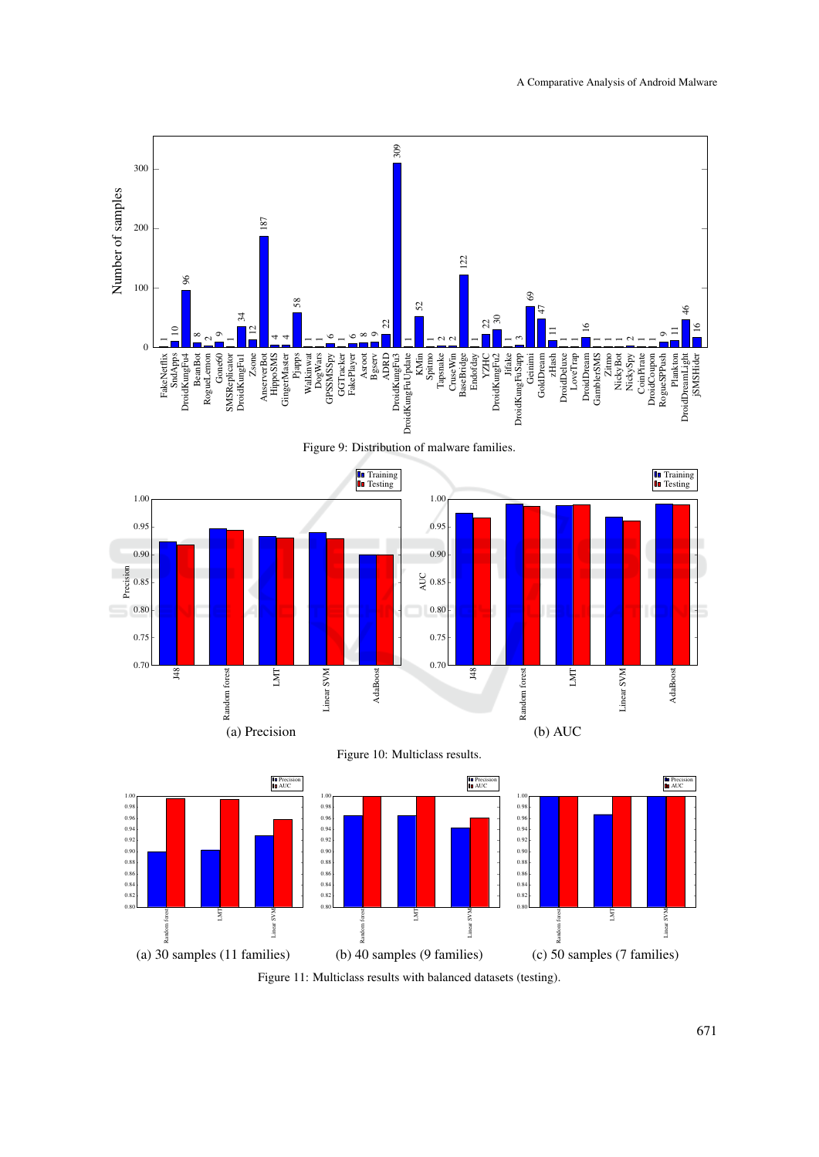

Figure 11: Multiclass results with balanced datasets (testing).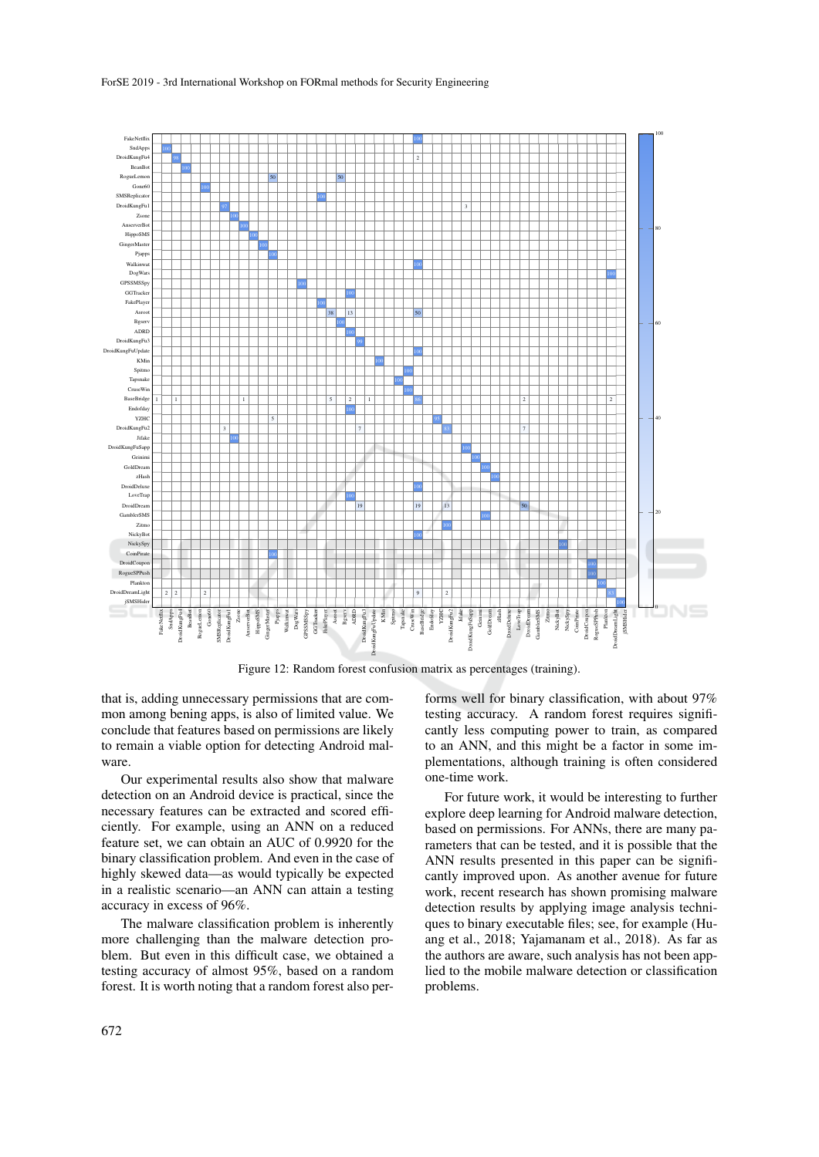

Figure 12: Random forest confusion matrix as percentages (training).

that is, adding unnecessary permissions that are common among bening apps, is also of limited value. We conclude that features based on permissions are likely to remain a viable option for detecting Android malware.

Our experimental results also show that malware detection on an Android device is practical, since the necessary features can be extracted and scored efficiently. For example, using an ANN on a reduced feature set, we can obtain an AUC of 0.9920 for the binary classification problem. And even in the case of highly skewed data—as would typically be expected in a realistic scenario—an ANN can attain a testing accuracy in excess of 96%.

The malware classification problem is inherently more challenging than the malware detection problem. But even in this difficult case, we obtained a testing accuracy of almost 95%, based on a random forest. It is worth noting that a random forest also performs well for binary classification, with about 97% testing accuracy. A random forest requires significantly less computing power to train, as compared to an ANN, and this might be a factor in some implementations, although training is often considered one-time work.

For future work, it would be interesting to further explore deep learning for Android malware detection, based on permissions. For ANNs, there are many parameters that can be tested, and it is possible that the ANN results presented in this paper can be significantly improved upon. As another avenue for future work, recent research has shown promising malware detection results by applying image analysis techniques to binary executable files; see, for example (Huang et al., 2018; Yajamanam et al., 2018). As far as the authors are aware, such analysis has not been applied to the mobile malware detection or classification problems.